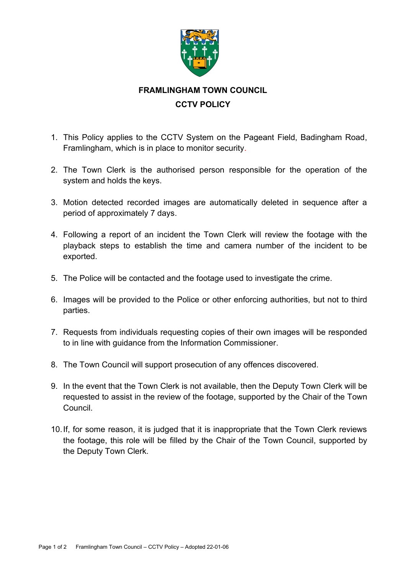

## **FRAMLINGHAM TOWN COUNCIL CCTV POLICY**

- 1. This Policy applies to the CCTV System on the Pageant Field, Badingham Road, Framlingham, which is in place to monitor security.
- 2. The Town Clerk is the authorised person responsible for the operation of the system and holds the keys.
- 3. Motion detected recorded images are automatically deleted in sequence after a period of approximately 7 days.
- 4. Following a report of an incident the Town Clerk will review the footage with the playback steps to establish the time and camera number of the incident to be exported.
- 5. The Police will be contacted and the footage used to investigate the crime.
- 6. Images will be provided to the Police or other enforcing authorities, but not to third parties.
- 7. Requests from individuals requesting copies of their own images will be responded to in line with guidance from the Information Commissioner.
- 8. The Town Council will support prosecution of any offences discovered.
- 9. In the event that the Town Clerk is not available, then the Deputy Town Clerk will be requested to assist in the review of the footage, supported by the Chair of the Town Council.
- 10.If, for some reason, it is judged that it is inappropriate that the Town Clerk reviews the footage, this role will be filled by the Chair of the Town Council, supported by the Deputy Town Clerk.